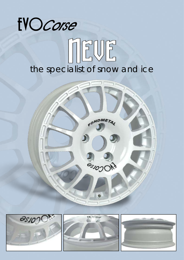# EVOCorse NEUE *the specialist of snow and ice*

CONDMETAL

**DI DISCONS**